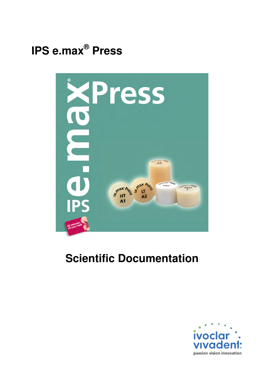



# **Scientific Documentation**

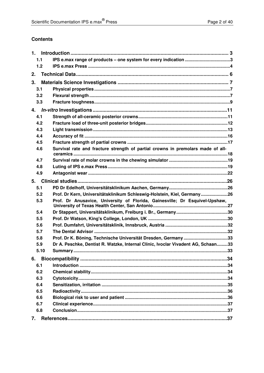#### **Contents**

| 1.1  |                                                                                  |  |
|------|----------------------------------------------------------------------------------|--|
| 1.2  |                                                                                  |  |
| 2.   |                                                                                  |  |
| 3.   |                                                                                  |  |
| 3.1  |                                                                                  |  |
| 3.2  |                                                                                  |  |
| 3.3  |                                                                                  |  |
| 4.   |                                                                                  |  |
| 4.1  |                                                                                  |  |
| 4.2  |                                                                                  |  |
| 4.3  |                                                                                  |  |
| 4.4  |                                                                                  |  |
| 4.5  |                                                                                  |  |
| 4.6  | Survival rate and fracture strength of partial crowns in premolars made of all-  |  |
| 4.7  |                                                                                  |  |
| 4.8  |                                                                                  |  |
| 4.9  |                                                                                  |  |
| 5.   |                                                                                  |  |
| 5.1  |                                                                                  |  |
| 5.2  | Prof. Dr Kern, Universitätsklinikum Schleswig-Holstein, Kiel, Germany26          |  |
| 5.3  | Prof. Dr Anusavice, University of Florida, Gainesville; Dr Esquivel-Upshaw,      |  |
| 5.4  |                                                                                  |  |
| 5.5  |                                                                                  |  |
| 5.6  |                                                                                  |  |
| 5.7  |                                                                                  |  |
| 5.8  | Prof. Dr K. Böning, Technische Universität Dresden, Germany 33                   |  |
| 5.9  | Dr A. Peschke, Dentist R. Watzke, Internal Clinic, Ivoclar Vivadent AG, Schaan33 |  |
| 5.10 |                                                                                  |  |
| 6.   |                                                                                  |  |
| 6.1  |                                                                                  |  |
| 6.2  |                                                                                  |  |
| 6.3  |                                                                                  |  |
| 6.4  |                                                                                  |  |
| 6.5  |                                                                                  |  |
| 6.6  |                                                                                  |  |
| 6.7  |                                                                                  |  |
| 6.8  |                                                                                  |  |
| 7.   |                                                                                  |  |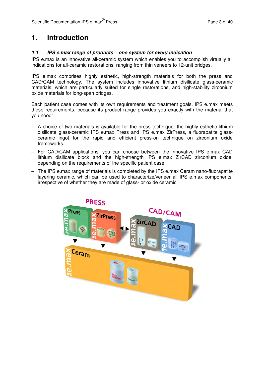### **1. Introduction**

#### **1.1 IPS e.max range of products – one system for every indication**

IPS e.max is an innovative all-ceramic system which enables you to accomplish virtually all indications for all-ceramic restorations, ranging from thin veneers to 12-unit bridges.

IPS e.max comprises highly esthetic, high-strength materials for both the press and CAD/CAM technology. The system includes innovative lithium disilicate glass-ceramic materials, which are particularly suited for single restorations, and high-stability zirconium oxide materials for long-span bridges.

Each patient case comes with its own requirements and treatment goals. IPS e.max meets these requirements, because its product range provides you exactly with the material that you need:

- A choice of two materials is available for the press technique: the highly esthetic lithium disilicate glass-ceramic IPS e.max Press and IPS e.max ZirPress, a fluorapatite glassceramic ingot for the rapid and efficient press-on technique on zirconium oxide frameworks.
- For CAD/CAM applications, you can choose between the innovative IPS e.max CAD lithium disilicate block and the high-strength IPS e.max ZirCAD zirconium oxide, depending on the requirements of the specific patient case.
- The IPS e.max range of materials is completed by the IPS e.max Ceram nano-fluorapatite layering ceramic, which can be used to characterize/veneer all IPS e.max components, irrespective of whether they are made of glass- or oxide ceramic.

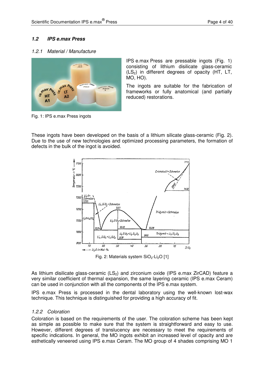#### **1.2 IPS e.max Press**

#### 1.2.1 Material / Manufacture



Fig. 1: IPS e.max Press ingots

IPS e.max Press are pressable ingots (Fig. 1) consisting of lithium disilicate glass-ceramic  $(LS<sub>2</sub>)$  in different degrees of opacity  $(HT, LT, T)$ MO, HO).

The ingots are suitable for the fabrication of frameworks or fully anatomical (and partially reduced) restorations.

These ingots have been developed on the basis of a lithium silicate glass-ceramic (Fig. 2). Due to the use of new technologies and optimized processing parameters, the formation of defects in the bulk of the ingot is avoided.



Fig. 2: Materials system  $SiO<sub>2</sub>-Li<sub>2</sub>O$  [1]

As lithium disilicate glass-ceramic  $(LS<sub>2</sub>)$  and zirconium oxide (IPS e.max ZirCAD) feature a very similar coefficient of thermal expansion, the same layering ceramic (IPS e.max Ceram) can be used in conjunction with all the components of the IPS e.max system.

IPS e.max Press is processed in the dental laboratory using the well-known lost-wax technique. This technique is distinguished for providing a high accuracy of fit.

#### 1.2.2 Coloration

Coloration is based on the requirements of the user. The coloration scheme has been kept as simple as possible to make sure that the system is straightforward and easy to use. However, different degrees of translucency are necessary to meet the requirements of specific indications. In general, the MO ingots exhibit an increased level of opacity and are esthetically veneered using IPS e.max Ceram. The MO group of 4 shades comprising MO 1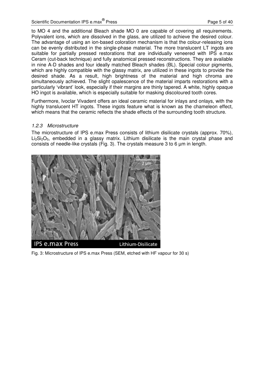to MO 4 and the additional Bleach shade MO 0 are capable of covering all requirements. Polyvalent ions, which are dissolved in the glass, are utilized to achieve the desired colour. The advantage of using an ion-based coloration mechanism is that the colour-releasing ions can be evenly distributed in the single-phase material. The more translucent LT ingots are suitable for partially pressed restorations that are individually veneered with IPS e.max Ceram (cut-back technique) and fully anatomical pressed reconstructions. They are available in nine A-D shades and four ideally matched Bleach shades (BL). Special colour pigments, which are highly compatible with the glassy matrix, are utilized in these ingots to provide the desired shade. As a result, high brightness of the material and high chroma are simultaneously achieved. The slight opalescence of the material imparts restorations with a particularly 'vibrant' look, especially if their margins are thinly tapered. A white, highly opaque HO ingot is available, which is especially suitable for masking discoloured tooth cores.

Furthermore, Ivoclar Vivadent offers an ideal ceramic material for inlays and onlays, with the highly translucent HT ingots. These ingots feature what is known as the chameleon effect, which means that the ceramic reflects the shade effects of the surrounding tooth structure.

#### 1.2.3 Microstructure

The microstructure of IPS e.max Press consists of lithium disilicate crystals (approx. 70%),  $Li<sub>2</sub>Si<sub>2</sub>O<sub>5</sub>$ , embedded in a glassy matrix. Lithium disilicate is the main crystal phase and consists of needle-like crystals (Fig. 3). The crystals measure 3 to 6 um in length.



Fig. 3: Microstructure of IPS e.max Press (SEM, etched with HF vapour for 30 s)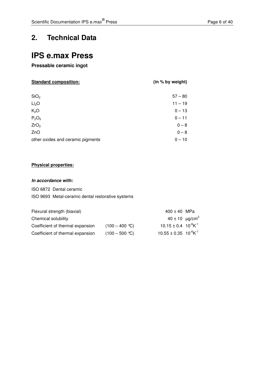### **2. Technical Data**

## **IPS e.max Press**

**Pressable ceramic ingot** 

| <b>Standard composition:</b> | (in % by weight) |
|------------------------------|------------------|
|------------------------------|------------------|

| SiO <sub>2</sub>                  | $57 - 80$ |
|-----------------------------------|-----------|
| Li <sub>2</sub> O                 | $11 - 19$ |
| K <sub>2</sub> O                  | $0 - 13$  |
| P <sub>2</sub> O <sub>5</sub>     | $0 - 11$  |
| ZrO <sub>2</sub>                  | $0 - 8$   |
| ZnO                               | $0 - 8$   |
| other oxides and ceramic pigments | $0 - 10$  |

#### **Physical properties:**

#### **In accordance with:**

ISO 6872 Dental ceramic

ISO 9693 Metal-ceramic dental restorative systems

| Flexural strength (biaxial)      |                          | $400 \pm 40$ MPa                           |  |
|----------------------------------|--------------------------|--------------------------------------------|--|
| Chemical solubility              |                          | $40 \pm 10$ µg/cm <sup>2</sup>             |  |
| Coefficient of thermal expansion | $(100 - 400 \degree C)$  | $10.15 \pm 0.4$ $10^{-6}$ K <sup>-1</sup>  |  |
| Coefficient of thermal expansion | $(100 - 500 \text{ °C})$ | $10.55 \pm 0.35$ $10^{-6}$ K <sup>-1</sup> |  |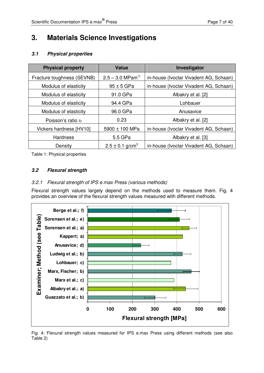# **3. Materials Science Investigations**

#### **3.1 Physical properties**

| <b>Physical property</b>                   | <b>Value</b>                    | Investigator                           |
|--------------------------------------------|---------------------------------|----------------------------------------|
| Fracture toughness (SEVNB)                 | $2.5 - 3.0$ MPam <sup>1/2</sup> | in-house (Ivoclar Vivadent AG, Schaan) |
| Modulus of elasticity                      | $95 \pm 5$ GPa                  | in-house (Ivoclar Vivadent AG, Schaan) |
| Modulus of elasticity                      | 91.0 GPa                        | Albakry et al. [2]                     |
| Modulus of elasticity                      | 94.4 GPa                        | Lohbauer                               |
| Modulus of elasticity                      | 96.0 GPa                        | Anusavice                              |
| Poisson's ratio v                          | 0.23                            | Albakry et al. [2]                     |
| Vickers hardness [HV10]                    | 5900 ± 100 MPa                  | in-house (Ivoclar Vivadent AG, Schaan) |
| <b>Hardness</b>                            | 5.5 GPa                         | Albakry et al. [3]                     |
| $2.5 \pm 0.1$ g/cm <sup>3</sup><br>Density |                                 | in-house (Ivoclar Vivadent AG, Schaan) |

Table 1: Physical properties

#### **3.2 Flexural strength**

#### 3.2.1 Flexural strength of IPS e.max Press (various methods)

Flexural strength values largely depend on the methods used to measure them. Fig. 4 provides an overview of the flexural strength values measured with different methods.



Fig. 4: Flexural strength values measured for IPS e.max Press using different methods (see also Table 2)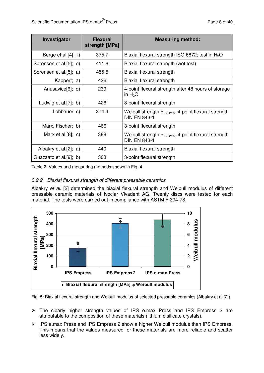| Investigator              | <b>Flexural</b><br>strength [MPa] | <b>Measuring method:</b>                                                               |
|---------------------------|-----------------------------------|----------------------------------------------------------------------------------------|
| Berge et al. $[4]$ ; f)   | 375.7                             | Biaxial flexural strength ISO 6872; test in $H_2O$                                     |
| Sorensen et al.[5]; e)    | 411.6                             | Biaxial flexural strength (wet test)                                                   |
| Sorensen et al.[5]; a)    | 455.5                             | Biaxial flexural strength                                                              |
| Kappert; a)               | 426                               | Biaxial flexural strength                                                              |
| Anusavice[6]; d)          | 239                               | 4-point flexural strength after 48 hours of storage<br>in $H2O$                        |
| Ludwig et al. $[7]$ ; b)  | 426                               | 3-point flexural strength                                                              |
| Lohbauer c)               | 374.4                             | Weibull strength $\sigma_{63.21\%}$ : 4-point flexural strength<br><b>DIN EN 843-1</b> |
| Marx, Fischer; b)         | 466                               | 3-point flexural strength                                                              |
| Marx et al. $[8]$ ; c)    | 388                               | Weibull strength $\sigma_{63.21\%}$ ; 4-point flexural strength<br><b>DIN EN 843-1</b> |
| Albakry et al. $[2]$ ; a) | 440                               | Biaxial flexural strength                                                              |
| Guazzato et al.[9]; b)    | 303                               | 3-point flexural strength                                                              |

Table 2: Values and measuring methods shown in Fig. 4

#### 3.2.2 Biaxial flexural strength of different pressable ceramics

Albakry et al. [2] determined the biaxial flexural strength and Weibull modulus of different pressable ceramic materials of Ivoclar Vivadent AG. Twenty discs were tested for each material. The tests were carried out in compliance with ASTM F 394-78.



Fig. 5: Biaxial flexural strength and Weibull modulus of selected pressable ceramics (Albakry et al.[2])

- The clearly higher strength values of IPS e.max Press and IPS Empress 2 are attributable to the composition of these materials (lithium disilicate crystals).
- IPS e.max Press and IPS Empress 2 show a higher Weibull modulus than IPS Empress. This means that the values measured for these materials are more reliable and scatter less widely.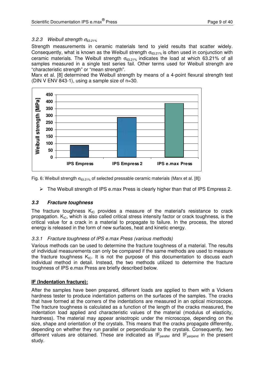#### 3.2.3 Weibull strength  $\sigma_{63.21\%}$

Strength measurements in ceramic materials tend to yield results that scatter widely. Consequently, what is known as the Weibull strength  $\sigma_{63.21\%}$  is often used in conjunction with ceramic materials. The Weibull strength  $\sigma_{63.21\%}$  indicates the load at which 63.21% of all samples measured in a single test series fail. Other terms used for Weibull strength are "characteristic strength" or "mean strength".

Marx et al. [8] determined the Weibull strength by means of a 4-point flexural strength test (DIN V ENV 843-1), using a sample size of  $n=30$ .



Fig. 6: Weibull strength  $\sigma_{63.21\%}$  of selected pressable ceramic materials (Marx et al. [8])

 $\triangleright$  The Weibull strength of IPS e.max Press is clearly higher than that of IPS Empress 2.

#### **3.3 Fracture toughness**

The fracture toughness  $K_{IC}$  provides a measure of the material's resistance to crack propagation.  $K_{IC}$ , which is also called critical stress intensity factor or crack toughness, is the critical value for a crack in a material to propagate to failure. In the process, the stored energy is released in the form of new surfaces, heat and kinetic energy.

#### 3.3.1 Fracture toughness of IPS e.max Press (various methods)

Various methods can be used to determine the fracture toughness of a material. The results of individual measurements can only be compared if the same methods are used to measure the fracture toughness  $K_{IC}$ . It is not the purpose of this documentation to discuss each individual method in detail. Instead, the two methods utilized to determine the fracture toughness of IPS e.max Press are briefly described below.

#### **IF (Indentation fracture):**

After the samples have been prepared, different loads are applied to them with a Vickers hardness tester to produce indentation patterns on the surfaces of the samples. The cracks that have formed at the corners of the indentations are measured in an optical microscope. The fracture toughness is calculated as a function of the length of the cracks measured, the indentation load applied and characteristic values of the material (modulus of elasticity, hardness). The material may appear anisotropic under the microscope, depending on the size, shape and orientation of the crystals. This means that the cracks propagate differently, depending on whether they run parallel or perpendicular to the crystals. Consequently, two different values are obtained. These are indicated as  $IF_{parallel}$  and  $IF_{perpend}$  in the present study.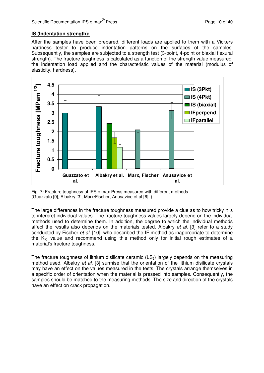#### **IS (Indentation strength):**

After the samples have been prepared, different loads are applied to them with a Vickers hardness tester to produce indentation patterns on the surfaces of the samples. Subsequently, the samples are subjected to a strength test (3-point, 4-point or biaxial flexural strength). The fracture toughness is calculated as a function of the strength value measured, the indentation load applied and the characteristic values of the material (modulus of elasticity, hardness).



Fig. 7: Fracture toughness of IPS e.max Press measured with different methods (Guazzato [9], Albakry [3], Marx/Fischer, Anusavice et al.[6] )

The large differences in the fracture toughness measured provide a clue as to how tricky it is to interpret individual values. The fracture toughness values largely depend on the individual methods used to determine them. In addition, the degree to which the individual methods affect the results also depends on the materials tested. Albakry et al. [3] refer to a study conducted by Fischer et al. [10], who described the IF method as inappropriate to determine the  $K_{IC}$  value and recommend using this method only for initial rough estimates of a material's fracture toughness.

The fracture toughness of lithium disilicate ceramic  $(LS<sub>2</sub>)$  largely depends on the measuring method used. Albakry et al. [3] surmise that the orientation of the lithium disilicate crystals may have an effect on the values measured in the tests. The crystals arrange themselves in a specific order of orientation when the material is pressed into samples. Consequently, the samples should be matched to the measuring methods. The size and direction of the crystals have an effect on crack propagation.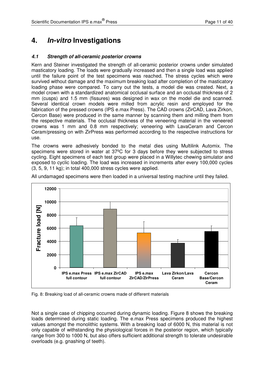### **4. In-vitro Investigations**

#### **4.1 Strength of all-ceramic posterior crowns**

Kern and Steiner investigated the strength of all-ceramic posterior crowns under simulated masticatory loading. The loads were gradually increased and then a single load was applied until the failure point of the test specimens was reached. The stress cycles which were survived without damage and the maximum breaking load after completion of the masticatory loading phase were compared. To carry out the tests, a model die was created. Next, a model crown with a standardized anatomical occlusal surface and an occlusal thickness of 2 mm (cusps) and 1.5 mm (fissures) was designed in wax on the model die and scanned. Several identical crown models were milled from acrylic resin and employed for the fabrication of the pressed crowns (IPS e.max Press). The CAD crowns (ZirCAD, Lava Zirkon, Cercon Base) were produced in the same manner by scanning them and milling them from the respective materials. The occlusal thickness of the veneering material in the veneered crowns was 1 mm and 0.8 mm respectively; veneering with LavaCeram and Cercon Ceram/pressing on with ZirPress was performed according to the respective instructions for use.

The crowns were adhesively bonded to the metal dies using Multilink Automix. The specimens were stored in water at 37ºC for 3 days before they were subjected to stress cycling. Eight specimens of each test group were placed in a Willytec chewing simulator and exposed to cyclic loading. The load was increased in increments after every 100,000 cycles (3, 5, 9, 11 kg); in total 400,000 stress cycles were applied.



All undamaged specimens were then loaded in a universal testing machine until they failed.

Fig. 8: Breaking load of all-ceramic crowns made of different materials

Not a single case of chipping occurred during dynamic loading. Figure 8 shows the breaking loads determined during static loading. The e.max Press specimens produced the highest values amongst the monolithic systems. With a breaking load of 6000 N, this material is not only capable of withstanding the physiological forces in the posterior region, which typically range from 300 to 1000 N, but also offers sufficient additional strength to tolerate undesirable overloads (e.g. gnashing of teeth).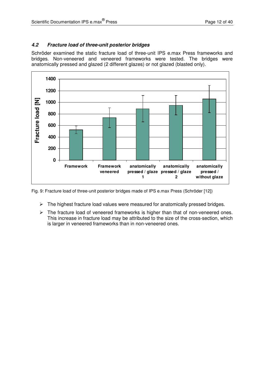#### **4.2 Fracture load of three-unit posterior bridges**

Schröder examined the static fracture load of three-unit IPS e.max Press frameworks and bridges. Non-veneered and veneered frameworks were tested. The bridges were anatomically pressed and glazed (2 different glazes) or not glazed (blasted only).



Fig. 9: Fracture load of three-unit posterior bridges made of IPS e.max Press (Schröder [12])

- $\triangleright$  The highest fracture load values were measured for anatomically pressed bridges.
- $\triangleright$  The fracture load of veneered frameworks is higher than that of non-veneered ones. This increase in fracture load may be attributed to the size of the cross-section, which is larger in veneered frameworks than in non-veneered ones.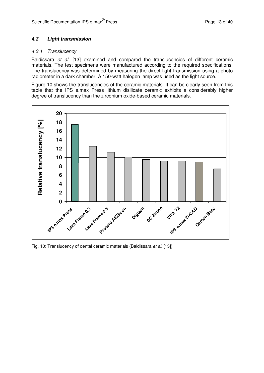#### **4.3 Light transmission**

#### 4.3.1 Translucency

Baldissara et al. [13] examined and compared the translucencies of different ceramic materials. The test specimens were manufactured according to the required specifications. The translucency was determined by measuring the direct light transmission using a photo radiometer in a dark chamber. A 150-watt halogen lamp was used as the light source.

Figure 10 shows the translucencies of the ceramic materials. It can be clearly seen from this table that the IPS e.max Press lithium disilicate ceramic exhibits a considerably higher degree of translucency than the zirconium oxide-based ceramic materials.



Fig. 10: Translucency of dental ceramic materials (Baldissara et al. [13])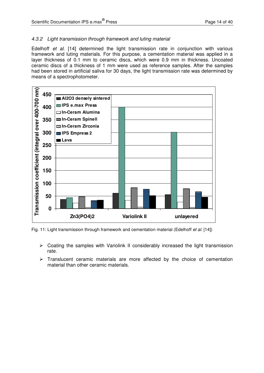#### 4.3.2 Light transmission through framework and luting material

Edelhoff et al. [14] determined the light transmission rate in conjunction with various framework and luting materials. For this purpose, a cementation material was applied in a layer thickness of 0.1 mm to ceramic discs, which were 0.9 mm in thickness. Uncoated ceramic discs of a thickness of 1 mm were used as reference samples. After the samples had been stored in artificial saliva for 30 days, the light transmission rate was determined by means of a spectrophotometer.



Fig. 11: Light transmission through framework and cementation material (Edelhoff et al. [14])

- $\triangleright$  Coating the samples with Variolink II considerably increased the light transmission rate.
- $\triangleright$  Translucent ceramic materials are more affected by the choice of cementation material than other ceramic materials.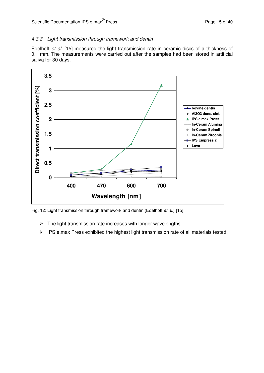#### 4.3.3 Light transmission through framework and dentin

Edelhoff et al. [15] measured the light transmission rate in ceramic discs of a thickness of 0.1 mm. The measurements were carried out after the samples had been stored in artificial saliva for 30 days.



Fig. 12: Light transmission through framework and dentin (Edelhoff et al.) [15]

- $\triangleright$  The light transmission rate increases with longer wavelengths.
- $\triangleright$  IPS e.max Press exhibited the highest light transmission rate of all materials tested.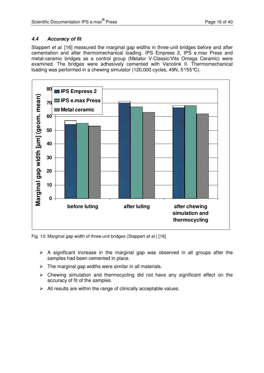#### **4.4 Accuracy of fit**

Stappert et al. [16] measured the marginal gap widths in three-unit bridges before and after cementation and after thermomechanical loading. IPS Empress 2, IPS e.max Press and metal-ceramic bridges as a control group (Metalor V-Classic/Vita Omega Ceramic) were examined. The bridges were adhesively cemented with Variolink II. Thermomechanical loading was performed in a chewing simulator (120,000 cycles, 49N, 5°/55°C).



Fig. 13: Marginal gap width of three-unit bridges (Stappert et al.) [16]

- $\triangleright$  A significant increase in the marginal gap was observed in all groups after the samples had been cemented in place.
- $\triangleright$  The marginal gap widths were similar in all materials.
- Chewing simulation and thermocycling did not have any significant effect on the accuracy of fit of the samples.
- $\triangleright$  All results are within the range of clinically acceptable values.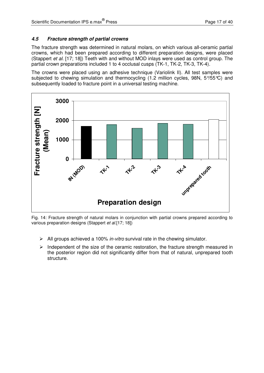#### **4.5 Fracture strength of partial crowns**

The fracture strength was determined in natural molars, on which various all-ceramic partial crowns, which had been prepared according to different preparation designs, were placed (Stappert et al. [17; 18]) Teeth with and without MOD inlays were used as control group. The partial crown preparations included 1 to 4 occlusal cusps (TK-1, TK-2, TK-3, TK-4).

The crowns were placed using an adhesive technique (Variolink II). All test samples were subjected to chewing simulation and thermocycling (1.2 million cycles, 98N,  $5\%5\degree$ C) and subsequently loaded to fracture point in a universal testing machine.



Fig. 14: Fracture strength of natural molars in conjunction with partial crowns prepared according to various preparation designs (Stappert et al.[17; 18])

- $\triangleright$  All groups achieved a 100% in-vitro survival rate in the chewing simulator.
- $\triangleright$  Independent of the size of the ceramic restoration, the fracture strength measured in the posterior region did not significantly differ from that of natural, unprepared tooth structure.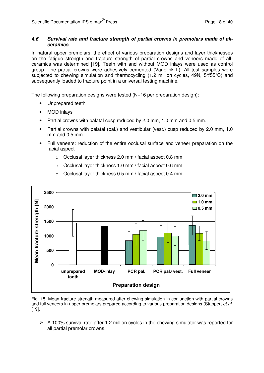#### **4.6 Survival rate and fracture strength of partial crowns in premolars made of allceramics**

In natural upper premolars, the effect of various preparation designs and layer thicknesses on the fatigue strength and fracture strength of partial crowns and veneers made of allceramics was determined [19]. Teeth with and without MOD inlays were used as control group. The partial crowns were adhesively cemented (Variolink II). All test samples were subjected to chewing simulation and thermocycling (1.2 million cycles, 49N, 5%55°C) and subsequently loaded to fracture point in a universal testing machine.

The following preparation designs were tested  $(N=16$  per preparation design):

- Unprepared teeth
- MOD inlays
- Partial crowns with palatal cusp reduced by 2.0 mm, 1.0 mm and 0.5 mm.
- Partial crowns with palatal (pal.) and vestibular (vest.) cusp reduced by 2.0 mm, 1.0 mm and 0.5 mm
- Full veneers: reduction of the entire occlusal surface and veneer preparation on the facial aspect
	- o Occlusal layer thickness 2.0 mm / facial aspect 0.8 mm
	- o Occlusal layer thickness 1.0 mm / facial aspect 0.6 mm



o Occlusal layer thickness 0.5 mm / facial aspect 0.4 mm

Fig. 15: Mean fracture strength measured after chewing simulation in conjunction with partial crowns and full veneers in upper premolars prepared according to various preparation designs (Stappert et al. [19].

 $\triangleright$  A 100% survival rate after 1.2 million cycles in the chewing simulator was reported for all partial premolar crowns.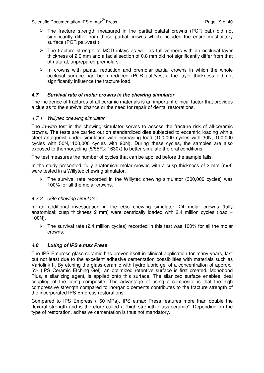- $\triangleright$  The fracture strength measured in the partial palatal crowns (PCR pal.) did not significantly differ from those partial crowns which included the entire masticatory surface (PCR pal./vest.).
- $\triangleright$  The fracture strength of MOD inlays as well as full veneers with an occlusal layer thickness of 2.0 mm and a facial section of 0.8 mm did not significantly differ from that of natural, unprepared premolars.
- $\triangleright$  In crowns with palatal reduction and premolar partial crowns in which the whole occlusal surface had been reduced (PCR pal./vest.), the layer thickness did not significantly influence the fracture load.

#### **4.7 Survival rate of molar crowns in the chewing simulator**

The incidence of fractures of all-ceramic materials is an important clinical factor that provides a clue as to the survival chance or the need for repair of dental restorations.

#### 4.7.1 Willytec chewing simulator

The *in-vitro* test in the chewing simulator serves to assess the fracture risk of all-ceramic crowns. The tests are carried out on standardized dies subjected to eccentric loading with a steel antagonist under simulation with increasing load (100,000 cycles with 30N, 100,000 cycles with 50N, 100,000 cycles with 90N). During these cycles, the samples are also exposed to thermocycling  $(5/55^{\circ}\text{C})$ ; 1630x) to better simulate the oral conditions.

The test measures the number of cycles that can be applied before the sample fails.

In the study presented, fully anatomical molar crowns with a cusp thickness of 2 mm  $(n=8)$ were tested in a Willytec chewing simulator.

 $\triangleright$  The survival rate recorded in the Willytec chewing simulator (300,000 cycles) was 100% for all the molar crowns.

#### 4.7.2 eGo chewing simulator

In an additional investigation in the eGo chewing simulator, 24 molar crowns (fully anatomical; cusp thickness 2 mm) were centrically loaded with 2.4 million cycles (load  $=$ 100N).

 $\triangleright$  The survival rate (2.4 million cycles) recorded in this test was 100% for all the molar crowns.

#### **4.8 Luting of IPS e.max Press**

The IPS Empress glass-ceramic has proven itself in clinical application for many years, last but not least due to the excellent adhesive cementation possibilities with materials such as Variolink II. By etching the glass-ceramic with hydrofluoric gel of a concentration of approx.. 5% (IPS Ceramic Etching Gel), an optimized retentive surface is first created. Monobond Plus, a silanizing agent, is applied onto this surface. The silanized surface enables ideal coupling of the luting composite. The advantage of using a composite is that the high compressive strength compared to inorganic cements contributes to the fracture strength of the incorporated IPS Empress restorations.

Compared to IPS Empress (160 MPa), IPS e.max Press features more than double the flexural strength and is therefore called a "high-strength glass-ceramic". Depending on the type of restoration, adhesive cementation is thus not mandatory.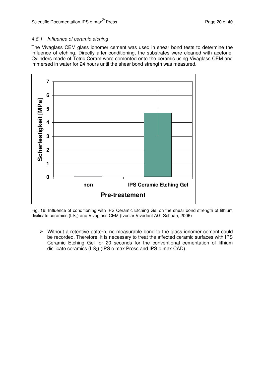#### 4.8.1 Influence of ceramic etching

The Vivaglass CEM glass ionomer cement was used in shear bond tests to determine the influence of etching. Directly after conditioning, the substrates were cleaned with acetone. Cylinders made of Tetric Ceram were cemented onto the ceramic using Vivaglass CEM and immersed in water for 24 hours until the shear bond strength was measured.



Fig. 16: Influence of conditioning with IPS Ceramic Etching Gel on the shear bond strength of lithium disilicate ceramics  $(LS_2)$  and Vivaglass CEM (Ivoclar Vivadent AG, Schaan, 2006)

 $\triangleright$  Without a retentive pattern, no measurable bond to the glass ionomer cement could be recorded. Therefore, it is necessary to treat the affected ceramic surfaces with IPS Ceramic Etching Gel for 20 seconds for the conventional cementation of lithium disilicate ceramics  $(LS_2)$  (IPS e.max Press and IPS e.max CAD).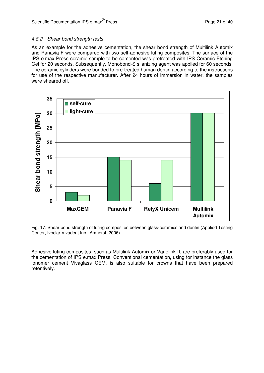#### 4.8.2 Shear bond strength tests

As an example for the adhesive cementation, the shear bond strength of Multilink Automix and Panavia F were compared with two self-adhesive luting composites. The surface of the IPS e.max Press ceramic sample to be cemented was pretreated with IPS Ceramic Etching Gel for 20 seconds. Subsequently, Monobond-S silanizing agent was applied for 60 seconds. The ceramic cylinders were bonded to pre-treated human dentin according to the instructions for use of the respective manufacturer. After 24 hours of immersion in water, the samples were sheared off.



Fig. 17: Shear bond strength of luting composites between glass-ceramics and dentin (Applied Testing Center, Ivoclar Vivadent Inc., Amherst, 2006)

Adhesive luting composites, such as Multilink Automix or Variolink II, are preferably used for the cementation of IPS e.max Press. Conventional cementation, using for instance the glass ionomer cement Vivaglass CEM, is also suitable for crowns that have been prepared retentively.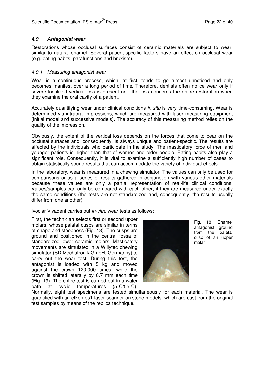#### **4.9 Antagonist wear**

Restorations whose occlusal surfaces consist of ceramic materials are subject to wear, similar to natural enamel. Several patient-specific factors have an effect on occlusal wear (e.g. eating habits, parafunctions and bruxism).

#### 4.9.1 Measuring antagonist wear

Wear is a continuous process, which, at first, tends to go almost unnoticed and only becomes manifest over a long period of time. Therefore, dentists often notice wear only if severe localized vertical loss is present or if the loss concerns the entire restoration when they examine the oral cavity of a patient.

Accurately quantifying wear under clinical conditions *in situ* is very time-consuming. Wear is determined via intraoral impressions, which are measured with laser measuring equipment (initial model and successive models). The accuracy of this measuring method relies on the quality of the impression.

Obviously, the extent of the vertical loss depends on the forces that come to bear on the occlusal surfaces and, consequently, is always unique and patient-specific. The results are affected by the individuals who participate in the study. The masticatory force of men and younger patients is higher than that of women and older people. Eating habits also play a significant role. Consequently, it is vital to examine a sufficiently high number of cases to obtain statistically sound results that can accommodate the variety of individual effects.

In the laboratory, wear is measured in a chewing simulator. The values can only be used for comparisons or as a series of results gathered in conjunction with various other materials because these values are only a partial representation of real-life clinical conditions. Values/samples can only be compared with each other, if they are measured under exactly the same conditions (the tests are not standardized and, consequently, the results usually differ from one another).

Ivoclar Vivadent carries out in-vitro wear tests as follows:

First, the technician selects first or second upper molars, whose palatal cusps are similar in terms of shape and steepness (Fig. 18). The cusps are ground and positioned in the central fossa of standardized lower ceramic molars. Masticatory movements are simulated in a Willytec chewing simulator (SD Mechatronik GmbH, Germanny) to carry out the wear test. During this test, the antagonist is loaded with 5 kg and moved against the crown 120,000 times, while the crown is shifted laterally by 0.7 mm each time (Fig. 19). The entire test is carried out in a water bath at cyclic temperatures (5°C/55°C).



Fig. 18: Enamel antagonist ground from the palatal cusp of an upper molar

Normally, eight test specimens are tested simultaneously for each material. The wear is quantified with an etkon es1 laser scanner on stone models, which are cast from the original test samples by means of the replica technique.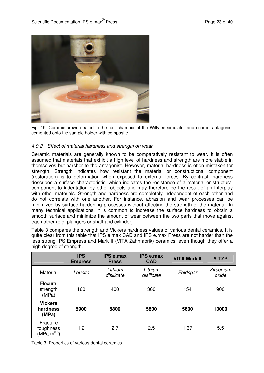

Fig. 19: Ceramic crown seated in the test chamber of the Willytec simulator and enamel antagonist cemented onto the sample holder with composite

#### 4.9.2 Effect of material hardness and strength on wear

Ceramic materials are generally known to be comparatively resistant to wear. It is often assumed that materials that exhibit a high level of hardness and strength are more stable in themselves but harsher to the antagonist. However, material hardness is often mistaken for strength. Strength indicates how resistant the material or constructional component (restoration) is to deformation when exposed to external forces. By contrast, hardness describes a surface characteristic, which indicates the resistance of a material or structural component to indentation by other objects and may therefore be the result of an interplay with other materials. Strength and hardness are completely independent of each other and do not correlate with one another. For instance, abrasion and wear processes can be minimized by surface hardening processes without affecting the strength of the material. In many technical applications, it is common to increase the surface hardness to obtain a smooth surface and minimize the amount of wear between the two parts that move against each other (e.g. plungers or shaft and cylinder).

Table 3 compares the strength and Vickers hardness values of various dental ceramics. It is quite clear from this table that IPS e.max CAD and IPS e.max Press are not harder than the less strong IPS Empress and Mark II (VITA Zahnfabrik) ceramics, even though they offer a high degree of strength.

|                                                  | <b>IPS</b><br><b>Empress</b> | <b>IPS e.max</b><br><b>Press</b> | <b>IPS e.max</b><br><b>CAD</b> | <b>VITA Mark II</b> | <b>Y-TZP</b>       |
|--------------------------------------------------|------------------------------|----------------------------------|--------------------------------|---------------------|--------------------|
| Material                                         | Leucite                      | Lithium<br>disilicate            | Lithium<br>disilicate          | Feldspar            | Zirconium<br>oxide |
| Flexural<br>strength<br>(MPa)                    | 160                          | 400                              | 360                            | 154                 | 900                |
| <b>Vickers</b><br>hardness<br>(MPa)              | 5900                         | 5800                             | 5800                           | 5600                | 13000              |
| Fracture<br>toughness<br>(MPa m <sup>0.5</sup> ) | 1.2                          | 2.7                              | 2.5                            | 1.37                | 5.5                |

Table 3: Properties of various dental ceramics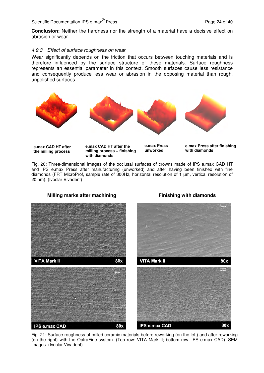**Conclusion:** Neither the hardness nor the strength of a material have a decisive effect on abrasion or wear.

#### 4.9.3 Effect of surface roughness on wear

Wear significantly depends on the friction that occurs between touching materials and is therefore influenced by the surface structure of these materials. Surface roughness represents an essential parameter in this context. Smooth surfaces cause less resistance and consequently produce less wear or abrasion in the opposing material than rough, unpolished surfaces.



Fig. 20: Three-dimensional images of the occlusal surfaces of crowns made of IPS e.max CAD HT and IPS e.max Press after manufacturing (unworked) and after having been finished with fine diamonds (FRT MicroProf, sample rate of 300Hz, horizontal resolution of 1 µm, vertical resolution of 20 nm). (Ivoclar Vivadent)



**Milling marks after machining Theory of Conservation Conservation Milling marks after machining Conservation Conservation Conservation Milling marks after machining conservation Conservation Milling marks after machining** 

Fig. 21: Surface roughness of milled ceramic materials before reworking (on the left) and after reworking (on the right) with the OptraFine system. (Top row: VITA Mark II; bottom row: IPS e.max CAD). SEM images. (Ivoclar Vivadent)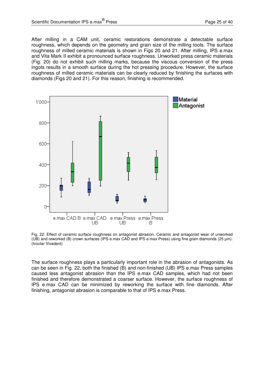After milling in a CAM unit, ceramic restorations demonstrate a detectable surface roughness, which depends on the geometry and grain size of the milling tools. The surface roughness of milled ceramic materials is shown in Figs 20 and 21. After milling, IPS e.max and Vita Mark II exhibit a pronounced surface roughness. Unworked press ceramic materials (Fig. 20) do not exhibit such milling marks, because the viscous conversion of the press ingots results in a smooth surface during the hot pressing procedure. However, the surface roughness of milled ceramic materials can be clearly reduced by finishing the surfaces with diamonds (Figs 20 and 21). For this reason, finishing is recommended.



Fig. 22: Effect of ceramic surface roughness on antagonist abrasion. Ceramic and antagonist wear of unworked (UB) and reworked (B) crown surfaces (IPS e.max CAD and IPS e.max Press) using fine grain diamonds (25 µm). (Ivoclar Vivadent)

The surface roughness plays a particularly important role in the abrasion of antagonists. As can be seen in Fig. 22, both the finished (B) and non-finished (UB) IPS e.max Press samples caused less antagonist abrasion than the IPS e.max CAD samples, which had not been finished and therefore demonstrated a coarser surface. However, the surface roughness of IPS e.max CAD can be minimized by reworking the surface with fine diamonds. After finishing, antagonist abrasion is comparable to that of IPS e.max Press.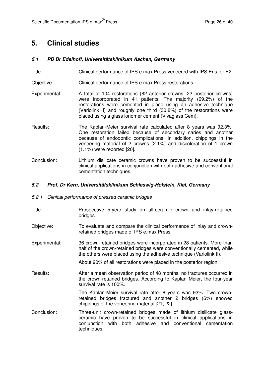### **5. Clinical studies**

#### **5.1 PD Dr Edelhoff, Universitätsklinikum Aachen, Germany**

- Title: Clinical performance of IPS e.max Press veneered with IPS Eris for E2
- Objective: Clinical performance of IPS e.max Press restorations
- Experimental: A total of 104 restorations (82 anterior crowns, 22 posterior crowns) were incorporated in 41 patients. The majority (69.2%) of the restorations were cemented in place using an adhesive technique (Variolink II) and roughly one third (30.8%) of the restorations were placed using a glass ionomer cement (Vivaglass Cem).
- Results: The Kaplan-Meier survival rate calculated after 8 years was 92.3%. One restoration failed because of secondary caries and another because of endodontic complications. In addition, chippings in the veneering material of 2 crowns (2.1%) and discoloration of 1 crown (1.1%) were reported [20].
- Conclusion: Lithium disilicate ceramic crowns have proven to be successful in clinical applications in conjunction with both adhesive and conventional cementation techniques.

#### **5.2 Prof. Dr Kern, Universitätsklinikum Schleswig-Holstein, Kiel, Germany**

- 5.2.1 Clinical performance of pressed ceramic bridges
- Title: Prospective 5-year study on all-ceramic crown and inlay-retained bridges
- Objective: To evaluate and compare the clinical performance of inlay and crownretained bridges made of IPS e.max Press
- Experimental: 36 crown-retained bridges were incorporated in 28 patients. More than half of the crown-retained bridges were conventionally cemented, while the others were placed using the adhesive technique (Variolink II).

About 90% of all restorations were placed in the posterior region.

Results: After a mean observation period of 48 months, no fractures occurred in the crown-retained bridges. According to Kaplan Meier, the four-year survival rate is 100%.

> The Kaplan-Meier survival rate after 8 years was 93%. Two crownretained bridges fractured and another 2 bridges (6%) showed chippings of the veneering material [21; 22].

Conclusion: Three-unit crown-retained bridges made of lithium disilicate glassceramic have proven to be successful in clinical applications in conjunction with both adhesive and conventional cementation techniques.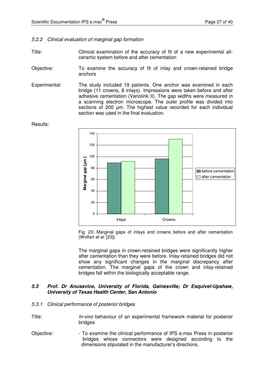#### 5.2.2 Clinical evaluation of marginal gap formation

- Title: Clinical examination of the accuracy of fit of a new experimental allceramic system before and after cementation
- Objective: To examine the accuracy of fit of inlay and crown-retained bridge anchors
- Experimental: The study included 19 patients. One anchor was examined in each bridge (11 crowns, 8 inlays). Impressions were taken before and after adhesive cementation (Variolink II). The gap widths were measured in a scanning electron microscope. The outer profile was divided into sections of 200 µm. The highest value recorded for each individual section was used in the final evaluation.

Results:



Fig. 23: Marginal gaps of inlays and crowns before and after cementation (Wolfart et al. [23])

The marginal gaps in crown-retained bridges were significantly higher after cementation than they were before. Inlay-retained bridges did not show any significant changes in the marginal discrepancy after cementation. The marginal gaps of the crown and inlay-retained bridges fall within the biologically acceptable range.

#### **5.3 Prof. Dr Anusavice, University of Florida, Gainesville; Dr Esquivel-Upshaw, University of Texas Health Center, San Antonio**

- 5.3.1 Clinical performance of posterior bridges
- Title: *In-vivo* behaviour of an experimental framework material for posterior bridges
- Objective: To examine the clinical performance of IPS e.max Press in posterior bridges whose connectors were designed according to the dimensions stipulated in the manufacturer's directions.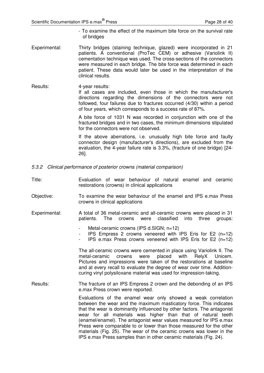- To examine the effect of the maximum bite force on the survival rate of bridges
- Experimental: Thirty bridges (staining technique, glazed) were incorporated in 21 patients. A conventional (ProTec CEM) or adhesive (Variolink II) cementation technique was used. The cross-sections of the connectors were measured in each bridge. The bite force was determined in each patient. These data would later be used in the interpretation of the clinical results.
- Results: 4-year results: If all cases are included, even those in which the manufacturer's directions regarding the dimensions of the connectors were not followed, four failures due to fractures occurred (4/30) within a period of four years, which corresponds to a success rate of 87%.

A bite force of 1031 N was recorded in conjunction with one of the fractured bridges and in two cases, the minimum dimensions stipulated for the connectors were not observed.

If the above aberrations, i.e. unusually high bite force and faulty connector design (manufacturer's directions), are excluded from the evaluation, the 4-year failure rate is 3.3%, (fracture of one bridge) [24- 26].

- 5.3.2 Clinical performance of posterior crowns (material comparison)
- Title: Evaluation of wear behaviour of natural enamel and ceramic restorations (crowns) in clinical applications
- Objective: To examine the wear behaviour of the enamel and IPS e.max Press crowns in clinical applications
- Experimental: A total of 36 metal-ceramic and all-ceramic crowns were placed in 31 patients. The crowns were classified into three groups:
	- Metal-ceramic crowns (IPS d.SIGN; n=12)
	- IPS Empress 2 crowns veneered with IPS Eris for E2 (n=12)
	- IPS e.max Press crowns veneered with IPS Eris for E2 (n=12)

The all-ceramic crowns were cemented in place using Variolink II. The metal-ceramic crowns were placed with RelyX Unicem. Pictures and impressions were taken of the restorations at baseline and at every recall to evaluate the degree of wear over time. Additioncuring vinyl polysiloxane material was used for impression-taking.

Results: The fracture of an IPS Empress 2 crown and the debonding of an IPS e.max Press crown were reported.

> Evaluations of the enamel wear only showed a weak correlation between the wear and the maximum masticatory force. This indicates that the wear is dominantly influenced by other factors. The antagonist wear for all materials was higher than that of natural teeth (enamel/enamel). The antagonist wear values measured for IPS e.max Press were comparable to or lower than those measured for the other materials (Fig. 25). The wear of the ceramic crowns was lower in the IPS e.max Press samples than in other ceramic materials (Fig. 24).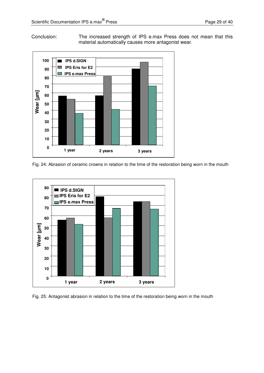Conclusion: The increased strength of IPS e.max Press does not mean that this material automatically causes more antagonist wear.



Fig. 24: Abrasion of ceramic crowns in relation to the time of the restoration being worn in the mouth



Fig. 25: Antagonist abrasion in relation to the time of the restoration being worn in the mouth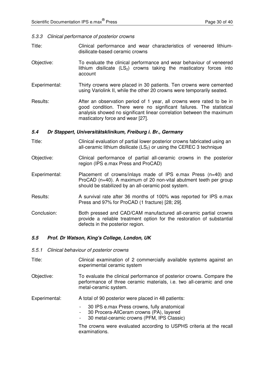#### 5.3.3 Clinical performance of posterior crowns

- Title: Clinical performance and wear characteristics of veneered lithiumdisilicate-based ceramic crowns
- Objective: To evaluate the clinical performance and wear behaviour of veneered lithium disilicate  $(LS_2)$  crowns taking the masticatory forces into account
- Experimental: Thirty crowns were placed in 30 patients. Ten crowns were cemented using Variolink II, while the other 20 crowns were temporarily seated.
- Results: After an observation period of 1 year, all crowns were rated to be in good condition. There were no significant failures. The statistical analysis showed no significant linear correlation between the maximum masticatory force and wear [27].

#### **5.4 Dr Stappert, Universitätsklinikum, Freiburg i. Br., Germany**

- Title: Clinical evaluation of partial lower posterior crowns fabricated using an all-ceramic lithium disilicate  $(LS<sub>2</sub>)$  or using the CEREC 3 technique
- Objective: Clinical performance of partial all-ceramic crowns in the posterior region (IPS e.max Press and ProCAD)
- Experimental: Placement of crowns/inlays made of IPS e.max Press (n=40) and ProCAD (n=40). A maximum of 20 non-vital abutment teeth per group should be stabilized by an all-ceramic post system.
- Results: A survival rate after 36 months of 100% was reported for IPS e.max Press and 97% for ProCAD (1 fracture) [28; 29].
- Conclusion: Both pressed and CAD/CAM manufactured all-ceramic partial crowns provide a reliable treatment option for the restoration of substantial defects in the posterior region.

#### **5.5 Prof. Dr Watson, King's College, London, UK**

- 5.5.1 Clinical behaviour of posterior crowns
- Title: Clinical examination of 2 commercially available systems against an experimental ceramic system
- Objective: To evaluate the clinical performance of posterior crowns. Compare the performance of three ceramic materials, i.e. two all-ceramic and one metal-ceramic system.

Experimental: A total of 90 posterior were placed in 48 patients:

- 30 IPS e.max Press crowns, fully anatomical
- 30 Procera-AllCeram crowns (PA), layered
- 30 metal-ceramic crowns (PFM, IPS Classic)

The crowns were evaluated according to USPHS criteria at the recall examinations.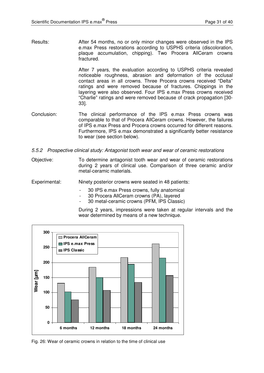Results: After 54 months, no or only minor changes were observed in the IPS e.max Press restorations according to USPHS criteria (discoloration, plaque accumulation, chipping). Two Procera AllCeram crowns fractured.

> After 7 years, the evaluation according to USPHS criteria revealed noticeable roughness, abrasion and deformation of the occlusal contact areas in all crowns. Three Procera crowns received "Delta" ratings and were removed because of fractures. Chippings in the layering were also observed. Four IPS e.max Press crowns received "Charlie" ratings and were removed because of crack propagation [30- 33].

- Conclusion: The clinical performance of the IPS e.max Press crowns was comparable to that of Procera AllCeram crowns. However, the failures of IPS e.max Press and Procera crowns occurred for different reasons. Furthermore, IPS e.max demonstrated a significantly better resistance to wear (see section below).
- 5.5.2 Prospective clinical study: Antagonist tooth wear and wear of ceramic restorations
- Objective: To determine antagonist tooth wear and wear of ceramic restorations during 2 years of clinical use. Comparison of three ceramic and/or metal-ceramic materials.
- Experimental: Ninety posterior crowns were seated in 48 patients:
	- 30 IPS e.max Press crowns, fully anatomical
	- 30 Procera AllCeram crowns (PA), layered
	- 30 metal-ceramic crowns (PFM, IPS Classic)

During 2 years, impressions were taken at regular intervals and the wear determined by means of a new technique.



Fig. 26: Wear of ceramic crowns in relation to the time of clinical use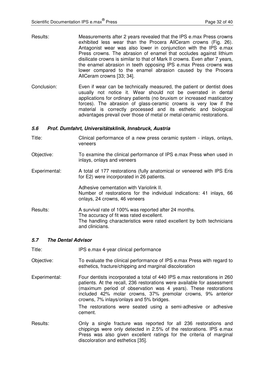- Results: Measurements after 2 years revealed that the IPS e.max Press crowns exhibited less wear than the Procera AllCeram crowns (Fig. 26). Antagonist wear was also lower in conjunction with the IPS e.max Press crowns. The abrasion of enamel that occludes against lithium disilicate crowns is similar to that of Mark II crowns. Even after 7 years, the enamel abrasion in teeth opposing IPS e.max Press crowns was lower compared to the enamel abrasion caused by the Procera AllCeram crowns [33; 34].
- Conclusion: Even if wear can be technically measured, the patient or dentist does usually not notice it. Wear should not be overrated in dental applications for ordinary patients (no bruxism or increased masticatory forces). The abrasion of glass-ceramic crowns is very low if the material is correctly processed and its esthetic and biological advantages prevail over those of metal or metal-ceramic restorations.

#### **5.6 Prof. Dumfahrt, Universitätsklinik, Innsbruck, Austria**

- Title: Clinical performance of a new press ceramic system inlays, onlays, veneers
- Objective: To examine the clinical performance of IPS e.max Press when used in inlays, onlays and veneers
- Experimental: A total of 177 restorations (fully anatomical or veneered with IPS Eris for E2) were incorporated in 26 patients.

Adhesive cementation with Variolink II. Number of restorations for the individual indications: 41 inlays, 66 onlays, 24 crowns, 46 veneers

Results: A survival rate of 100% was reported after 24 months. The accuracy of fit was rated excellent. The handling characteristics were rated excellent by both technicians and clinicians.

#### **5.7 The Dental Advisor**

- Title: IPS e.max 4-year clinical performance
- Objective: To evaluate the clinical performance of IPS e.max Press with regard to esthetics, fracture/chipping and marginal discoloration
- Experimental: Four dentists incorporated a total of 440 IPS e.max restorations in 260 patients. At the recall, 236 restorations were available for assessment (maximum period of observation was 4 years). These restorations included 42% molar crowns, 37% premolar crowns, 9% anterior crowns, 7% inlays/onlays and 5% bridges.

The restorations were seated using a semi-adhesive or adhesive cement.

Results: Only a single fracture was reported for all 236 restorations and chippings were only detected in 2.5% of the restorations. IPS e.max Press was also given excellent ratings for the criteria of marginal discoloration and esthetics [35].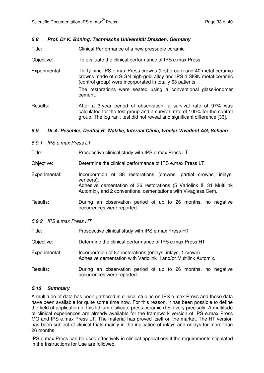#### **5.8 Prof. Dr K. Böning, Technische Universität Dresden, Germany**

Title: Clinical Performance of a new pressable ceramic

Objective: To evaluate the clinical performance of IPS e.max Press

Experimental: Thirty-nine IPS e.max Press crowns (test group) and 40 metal-ceramic crowns made of d.SIGN high-gold alloy and IPS d.SIGN metal-ceramic (control group) were incorporated in totally 63 patients. The restorations were seated using a conventional glass-ionomer cement.

Results: After a 3-year period of observation, a survival rate of 97% was calculated for the test group and a survival rate of 100% for the control group. The log rank test did not reveal and significant difference [36].

#### **5.9 Dr A. Peschke, Dentist R. Watzke, Internal Clinic, Ivoclar Vivadent AG, Schaan**

5.9.1 IPS e.max Press LT

Title: Prospective clinical study with IPS e.max Press LT

Objective: Determine the clinical performance of IPS e.max Press LT

- Experimental: Incorporation of 38 restorations (crowns, partial crowns, inlays, veneers). Adhesive cementation of 36 restorations (5 Variolink II, 31 Multilink Automix), and 2 conventional cementations with Vivaglass Cem.
- Results: During an observation period of up to 26 months, no negative occurrences were reported.

| 5.9.2 IPS e.max Press HT |  |
|--------------------------|--|
|--------------------------|--|

| Title:        | Prospective clinical study with IPS e.max Press HT                                                                              |  |  |
|---------------|---------------------------------------------------------------------------------------------------------------------------------|--|--|
| Objective:    | Determine the clinical performance of IPS e.max Press HT                                                                        |  |  |
| Experimental: | Incorporation of 87 restorations (onlays, inlays, 1 crown).<br>Adhesive cementation with Variolink II and/or Multilink Automix. |  |  |
| Results:      | During an observation period of up to 26 months, no negative<br>occurrences were reported.                                      |  |  |

#### **5.10 Summary**

A multitude of data has been gathered in clinical studies on IPS e.max Press and these data have been available for quite some time now. For this reason, it has been possible to define the field of application of this lithium disilicate press ceramic  $(LS<sub>2</sub>)$  very precisely. A multitude of clinical experiences are already available for the framework version of IPS e.max Press MO and IPS e.max Press LT. The material has proved itself on the market. The HT version has been subject of clinical trials mainly in the indication of inlays and onlays for more than 26 months.

IPS e.max Press can be used effectively in clinical applications if the requirements stipulated in the Instructions for Use are followed.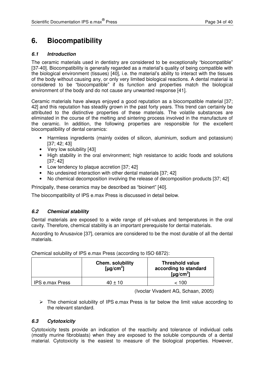## **6. Biocompatibility**

#### **6.1 Introduction**

The ceramic materials used in dentistry are considered to be exceptionally "biocompatible" [37-40]. Biocompatibility is generally regarded as a material's quality of being compatible with the biological environment (tissues) [40], i.e. the material's ability to interact with the tissues of the body without causing any, or only very limited biological reactions. A dental material is considered to be "biocompatible" if its function and properties match the biological environment of the body and do not cause any unwanted response [41].

Ceramic materials have always enjoyed a good reputation as a biocompatible material [37; 42] and this reputation has steadily grown in the past forty years. This trend can certainly be attributed to the distinctive properties of these materials. The volatile substances are eliminated in the course of the melting and sintering process involved in the manufacture of the ceramic. In addition, the following properties are responsible for the excellent biocompatibility of dental ceramics:

- Harmless ingredients (mainly oxides of silicon, aluminium, sodium and potassium) [37; 42; 43]
- Very low solubility [43]
- High stability in the oral environment; high resistance to acidic foods and solutions [37; 42]
- Low tendency to plaque accretion [37; 42]
- No undesired interaction with other dental materials [37; 42]
- No chemical decomposition involving the release of decomposition products [37; 42]

Principally, these ceramics may be described as "bioinert" [40].

The biocompatibility of IPS e.max Press is discussed in detail below.

#### **6.2 Chemical stability**

Dental materials are exposed to a wide range of pH-values and temperatures in the oral cavity. Therefore, chemical stability is an important prerequisite for dental materials.

According to Anusavice [37], ceramics are considered to be the most durable of all the dental materials.

|                 | <b>Chem. solubility</b><br>[ $\mu$ g/cm <sup>2</sup> ] | <b>Threshold value</b><br>according to standard<br>[ $\mu$ g/cm <sup>2</sup> ] |
|-----------------|--------------------------------------------------------|--------------------------------------------------------------------------------|
| IPS e.max Press | $40 + 10$                                              | < 100                                                                          |

Chemical solubility of IPS e.max Press (according to ISO 6872):

(Ivoclar Vivadent AG, Schaan, 2005)

 $\triangleright$  The chemical solubility of IPS e.max Press is far below the limit value according to the relevant standard.

#### **6.3 Cytotoxicity**

Cytotoxicity tests provide an indication of the reactivity and tolerance of individual cells (mostly murine fibroblasts) when they are exposed to the soluble compounds of a dental material. Cytotoxicity is the easiest to measure of the biological properties. However,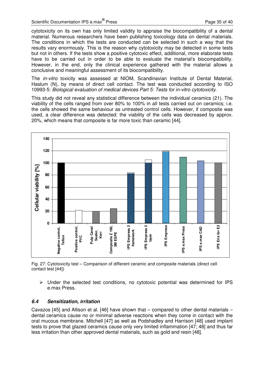cytotoxicity on its own has only limited validity to appraise the biocompatibility of a dental material. Numerous researchers have been publishing toxicology data on dental materials. The conditions in which the tests are conducted can be selected in such a way that the results vary enormously. This is the reason why cytotoxicity may be detected in some tests but not in others. If the tests show a positive cytotoxic effect, additional, more elaborate tests have to be carried out in order to be able to evaluate the material's biocompatibility. However, in the end, only the clinical experience gathered with the material allows a conclusive and meaningful assessment of its biocompatibility.

The in-vitro toxicity was assessed at NIOM, Scandinavian Institute of Dental Material, Haslum (N), by means of direct cell contact. The test was conducted according to ISO 10993-5: Biological evaluation of medical devices Part 5: Tests for in-vitro cytotoxicity.

This study did not reveal any statistical difference between the individual ceramics (21). The viability of the cells ranged from over 80% to 100% in all tests carried out on ceramics; i.e. the cells showed the same behaviour as untreated control cells. However, if composite was used, a clear difference was detected: the viability of the cells was decreased by approx. 20%, which means that composite is far more toxic than ceramic [44].



Fig. 27: Cytotoxicity test – Comparison of different ceramic and composite materials (direct cell contact test [44])

 $\triangleright$  Under the selected test conditions, no cytotoxic potential was determined for IPS e.max Press.

#### **6.4 Sensitization, irritation**

Cavazos [45] and Allison et al. [46] have shown that – compared to other dental materials – dental ceramics cause no or minimal adverse reactions when they come in contact with the oral mucous membrane. Mitchell [47] as well as Podshadley and Harrison [48] used implant tests to prove that glazed ceramics cause only very limited inflammation [47; 48] and thus far less irritation than other approved dental materials, such as gold and resin [48].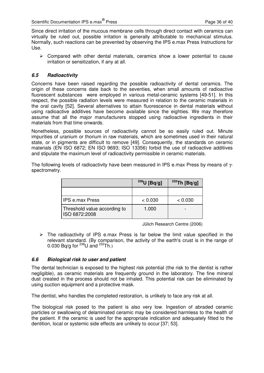Since direct irritation of the mucous membrane cells through direct contact with ceramics can virtually be ruled out, possible irritation is generally attributable to mechanical stimulus. Normally, such reactions can be prevented by observing the IPS e.max Press Instructions for Use.

 $\triangleright$  Compared with other dental materials, ceramics show a lower potential to cause irritation or sensitization, if any at all.

#### **6.5 Radioactivity**

Concerns have been raised regarding the possible radioactivity of dental ceramics. The origin of these concerns date back to the seventies, when small amounts of radioactive fluorescent substances were employed in various metal-ceramic systems [49-51]. In this respect, the possible radiation levels were measured in relation to the ceramic materials in the oral cavity [52]. Several alternatives to attain fluorescence in dental materials without using radioactive additives have become available since the eighties. We may therefore assume that all the major manufacturers stopped using radioactive ingredients in their materials from that time onwards.

Nonetheless, possible sources of radioactivity cannot be so easily ruled out. Minute impurities of uranium or thorium in raw materials, which are sometimes used in their natural state, or in pigments are difficult to remove [49]. Consequently, the standards on ceramic materials (EN ISO 6872; EN ISO 9693; ISO 13356) forbid the use of radioactive additives and stipulate the maximum level of radioactivity permissible in ceramic materials.

The following levels of radioactivity have been measured in IPS e.max Press by means of γspectrometry.

|                                               | $^{238}$ U [Bq/g] | $232$ Th [Bq/g] |
|-----------------------------------------------|-------------------|-----------------|
|                                               |                   |                 |
| <b>IPS e.max Press</b>                        | < 0.030           | < 0.030         |
| Threshold value according to<br>ISO 6872:2008 | 1.000             |                 |

Jülich Research Centre (2006)

 $\triangleright$  The radioactivity of IPS e.max Press is far below the limit value specified in the relevant standard. (By comparison, the activity of the earth's crust is in the range of 0.030 Bq/g for  $^{238}$ U and  $^{232}$ Th.)

#### **6.6 Biological risk to user and patient**

The dental technician is exposed to the highest risk potential (the risk to the dentist is rather negligible), as ceramic materials are frequently ground in the laboratory. The fine mineral dust created in the process should not be inhaled. This potential risk can be eliminated by using suction equipment and a protective mask.

The dentist, who handles the completed restoration, is unlikely to face any risk at all.

The biological risk posed to the patient is also very low. Ingestion of abraded ceramic particles or swallowing of delaminated ceramic may be considered harmless to the health of the patient. If the ceramic is used for the appropriate indication and adequately fitted to the dentition, local or systemic side effects are unlikely to occur [37; 53].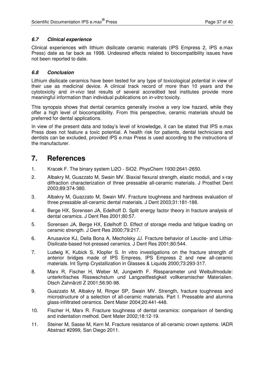#### **6.7 Clinical experience**

Clinical experiences with lithium disilicate ceramic materials (IPS Empress 2, IPS e.max Press) date as far back as 1998. Undesired effects related to biocompatibility issues have not been reported to date.

#### **6.8 Conclusion**

Lithium disilicate ceramics have been tested for any type of toxicological potential in view of their use as medicinal device. A clinical track record of more than 10 years and the cytotoxicity and in-vivo test results of several accredited test institutes provide more meaningful information than individual publications on in-vitro toxicity.

This synopsis shows that dental ceramics generally involve a very low hazard, while they offer a high level of biocompatibility. From this perspective, ceramic materials should be preferred for dental applications.

In view of the present data and today's level of knowledge, it can be stated that IPS e.max Press does not feature a toxic potential. A health risk for patients, dental technicians and dentists can be excluded, provided IPS e.max Press is used according to the instructions of the manufacturer.

### **7. References**

- 1. Kracek F. The binary system Li2O SiO2. PhysChem 1930:2641-2650.
- 2. Albakry M, Guazzato M, Swain MV. Biaxial flexural strength, elastic moduli, and x-ray diffraction characterization of three pressable all-ceramic materials. J Prosthet Dent 2003;89:374-380.
- 3. Albakry M, Guazzato M, Swain MV. Fracture toughness and hardness evaluation of three pressable all-ceramic dental materials. J Dent 2003;31:181-188.
- 4. Berge HX, Sorensen JA, Edelhoff D. Split energy factor theory in fracture analysis of dental ceramics. J Dent Res 2001;80:57.
- 5. Sorensen JA, Berge HX, Edelhoff D. Effect of storage media and fatigue loading on ceramic strength. J Dent Res 2000;79:217.
- 6. Anusavice KJ, Della Bona A, Mecholsky JJ. Fracture behavior of Leucite- and Lithia-Disilicate-based hot-pressed ceramics. J Dent Res 2001;80:544.
- 7. Ludwig K, Kubick S, Klopfer S. In vitro investigations on the fracture strength of anterior bridges made of IPS Empress, IPS Empress 2 and new all-ceramic materials. Int Symp Crystallization in Glasses & Liquids 2000;73:293-317.
- 8. Marx R, Fischer H, Weber M, Jungwirth F. Rissparameter und Weibullmodule: unterkritisches Risswachstum und Langzeitfestigkeit vollkeramischer Materialien. Dtsch Zahnärztl Z 2001;56:90-98.
- 9. Guazzato M, Albakry M, Ringer SP, Swain MV. Strength, fracture toughness and microstructure of a selection of all-ceramic materials. Part I. Pressable and alumina glass-infiltrated ceramics. Dent Mater 2004;20:441-448.
- 10. Fischer H, Marx R. Fracture toughness of dental ceramics: comparison of bending and indentation method. Dent Mater 2002;18:12-19.
- 11. Steiner M, Sasse M, Kern M. Fracture resistance of all-ceramic crown systems. IADR Abstract #2999, San Diego 2011.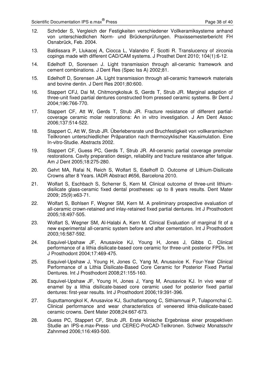- 12. Schröder S, Vergleich der Festigkeiten verschiedener Vollkeramiksysteme anhand von unterschiedlichen Norm- und Brückenprüfungen. Praxissemesterbericht FH Osnabrück, Feb. 2004.
- 13. Baldissara P, Llukacej A, Ciocca L, Valandro F, Scotti R. Translucency of zirconia copings made with different CAD/CAM systems. J Prosthet Dent 2010; 104(1):6-12.
- 14. Edelhoff D, Sorensen J. Light transmission through all-ceramic framework and cement combinations. J Dent Res (Spec Iss A) 2002;81.
- 15. Edelhoff D, Sorensen JA. Light transmission through all-ceramic framework materials and bovine dentin. J Dent Res 2001;80:600.
- 16. Stappert CFJ, Dai M, Chitmongkolsuk S, Gerds T, Strub JR. Marginal adaption of three-unit fixed partial dentures constructed from pressed ceramic systems. Br Dent J 2004;196:766-770.
- 17. Stappert CF, Att W, Gerds T, Strub JR. Fracture resistance of different partialcoverage ceramic molar restorations: An in vitro investigation. J Am Dent Assoc 2006;137:514-522.
- 18. Stappert C, Att W, Strub JR. Überlebensrate und Bruchfestigkeit von vollkeramischen Teilkronen unterschiedlicher Präparation nach thermozyklischer Kausimulation. Eine In-vitro-Studie. Abstracts 2002.
- 19. Stappert CF, Guess PC, Gerds T, Strub JR. All-ceramic partial coverage premolar restorations. Cavity preparation design, reliability and fracture resistance after fatigue. Am J Dent 2005;18:275-280.
- 20. Gehrt MA, Rafai N, Reich S, Wolfart S, Edelhoff D. Outcome of Lithium-Disilicate Crowns after 8 Years. IADR Abstract #656, Barcelona 2010.
- 21. Wolfart S, Eschbach S, Scherrer S, Kern M. Clinical outcome of three-unit lithiumdisilicate glass-ceramic fixed dental prostheses: up to 8 years results. Dent Mater 2009; 25(9):e63-71.
- 22. Wolfart S, Bohlsen F, Wegner SM, Kern M. A preliminary prospective evaluation of all-ceramic crown-retained and inlay-retained fixed partial dentures. Int J Prosthodont 2005;18:497-505.
- 23. Wolfart S, Wegner SM, Al-Halabi A, Kern M. Clinical Evaluation of marginal fit of a new experimental all-ceramic system before and after cementation. Int J Prosthodont 2003;16:587-592.
- 24. Esquivel-Upshaw JF, Anusavice KJ, Young H, Jones J, Gibbs C. Clinical performance of a lithia disilicate-based core ceramic for three-unit posterior FPDs. Int J Prosthodont 2004;17:469-475.
- 25. Esquivel-Upshaw J, Young H, Jones C, Yang M, Anusavice K. Four-Year Clinical Performance of a Lithia Disilicate-Based Core Ceramic for Posterior Fixed Partial Dentures. Int J Prosthodont 2008;21:155-160.
- 26. Esquivel-Upshaw JF, Young H, Jones J, Yang M, Anusavice KJ. In vivo wear of enamel by a lithia disilicate-based core ceramic used for posterior fixed partial dentures: first-year results. Int J Prosthodont 2006;19:391-396.
- 27. Suputtamongkol K, Anusavice KJ, Suchatlampong C, Sithiamnuai P, Tulapornchai C. Clinical performance and wear characteristics of veneered lithia-disilicate-based ceramic crowns. Dent Mater 2008;24:667-673.
- 28. Guess PC, Stappert CF, Strub JR. Erste klinische Ergebnisse einer prospektiven Studie an IPS-e.max-Press- und CEREC-ProCAD-Teilkronen. Schweiz Monatsschr Zahnmed 2006;116:493-500.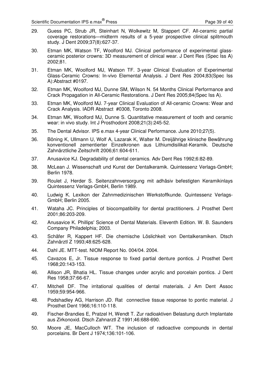- 29. Guess PC, Strub JR, Steinhart N, Wolkewitz M, Stappert CF. All-ceramic partial coverage restorations—midterm results of a 5-year prospective clinical splitmouth study. J Dent 2009;37(8):627-37.
- 30. Etman MK, Watson TF, Woolford MJ. Clinical performance of experimental glassceramic posterior crowns: 3D measurement of clinical wear. J Dent Res (Spec Iss A) 2002;81.
- 31. Etman MK, Woolford MJ, Watson TF. 3-year Clinical Evaluation of Experimental Glass-Ceramic Crowns: In-vivo Elemental Analysis. J Dent Res 2004;83(Spec Iss A):Abstract #0197.
- 32. Etman MK, Woolford MJ, Dunne SM, Wilson N. 54 Months Clinical Performance and Crack Propagation in All-Ceramic Restorations. J Dent Res 2005;84(Spec Iss A).
- 33. Etman MK, Woolford MJ. 7-year Clinical Evaluation of All-ceramic Crowns: Wear and Crack Analysis. IADR Abstract #0308, Toronto 2008.
- 34. Etman MK, Woolford MJ, Dunne S. Quantitative measurement of tooth and ceramic wear: in vivo study. Int J Prosthodont 2008;21(3):245-52.
- 35. The Dental Advisor. IPS e.max 4-year Clinical Performance. June 2010;27(5).
- 36. Böning K, Ullmann U, Wolf A, Lazarak K, Walter M. Dreijährige klinische Bewährung konventionell zementierter Einzelkronen aus Lithiumdisilikat-Keramik. Deutsche Zahnärztliche Zeitschrift 2006;61:604-611.
- 37. Anusavice KJ. Degradability of dental ceramics. Adv Dent Res 1992;6:82-89.
- 38. McLean J. Wissenschaft und Kunst der Dentalkeramik. Quintessenz Verlags-GmbH; Berlin 1978.
- 39. Roulet J, Herder S. Seitenzahnversorgung mit adhäsiv befestigten Keramikinlays Quintessenz Verlags-GmbH, Berlin 1989.
- 40. Ludwig K. Lexikon der Zahnmedizinischen Werkstoffkunde. Quintessenz Verlags-GmbH; Berlin 2005.
- 41. Wataha JC. Principles of biocompatibility for dental practitioners. J Prosthet Dent 2001;86:203-209.
- 42. Anusavice K. Phillips' Science of Dental Materials. Eleventh Edition. W. B. Saunders Company Philadelphia; 2003.
- 43. Schäfer R, Kappert HF. Die chemische Löslichkeit von Dentalkeramiken. Dtsch Zahnärztl Z 1993;48:625-628.
- 44. Dahl JE. MTT-test. NIOM Report No. 004/04. 2004.
- 45. Cavazos E, Jr. Tissue response to fixed partial denture pontics. J Prosthet Dent 1968;20:143-153.
- 46. Allison JR, Bhatia HL. Tissue changes under acrylic and porcelain pontics. J Dent Res 1958;37:66-67.
- 47. Mitchell DF. The irritational qualities of dental materials. J Am Dent Assoc 1959;59:954-966.
- 48. Podshadley AG, Harrison JD. Rat connective tissue response to pontic material. J Prosthet Dent 1966;16:110-118.
- 49. Fischer-Brandies E, Pratzel H, Wendt T. Zur radioaktiven Belastung durch Implantate aus Zirkonoxid. Dtsch Zahnarztl Z 1991;46:688-690.
- 50. Moore JE, MacCulloch WT. The inclusion of radioactive compounds in dental porcelains. Br Dent J 1974;136:101-106.